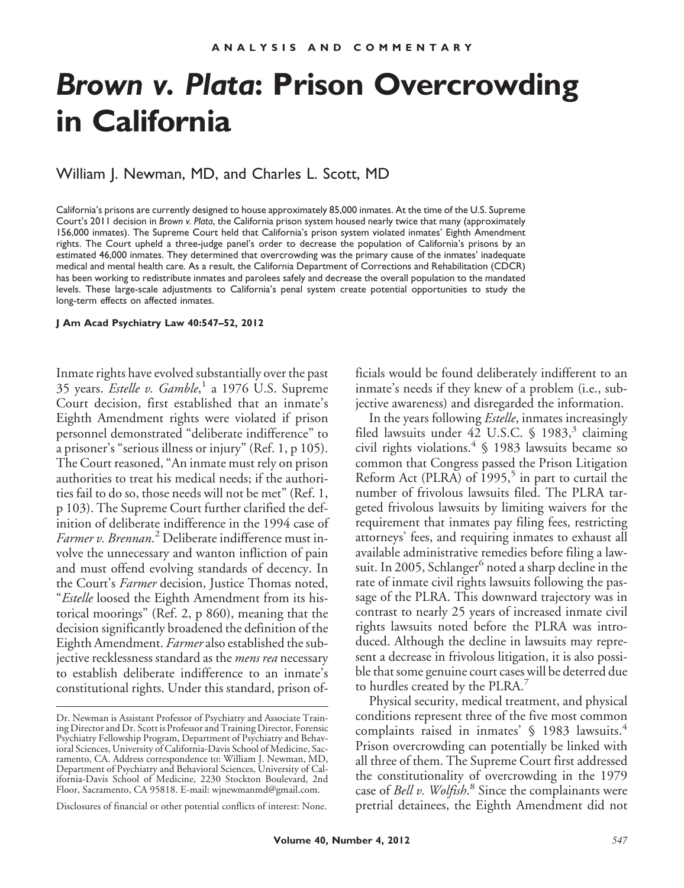# *Brown v. Plata***: Prison Overcrowding in California**

William J. Newman, MD, and Charles L. Scott, MD

California's prisons are currently designed to house approximately 85,000 inmates. At the time of the U.S. Supreme Court's 2011 decision in *Brown v. Plata*, the California prison system housed nearly twice that many (approximately 156,000 inmates). The Supreme Court held that California's prison system violated inmates' Eighth Amendment rights. The Court upheld a three-judge panel's order to decrease the population of California's prisons by an estimated 46,000 inmates. They determined that overcrowding was the primary cause of the inmates' inadequate medical and mental health care. As a result, the California Department of Corrections and Rehabilitation (CDCR) has been working to redistribute inmates and parolees safely and decrease the overall population to the mandated levels. These large-scale adjustments to California's penal system create potential opportunities to study the long-term effects on affected inmates.

#### **J Am Acad Psychiatry Law 40:547–52, 2012**

Inmate rights have evolved substantially over the past 35 years. *Estelle v. Gamble*, <sup>1</sup> a 1976 U.S. Supreme Court decision, first established that an inmate's Eighth Amendment rights were violated if prison personnel demonstrated "deliberate indifference" to a prisoner's "serious illness or injury" (Ref. 1, p 105). The Court reasoned, "An inmate must rely on prison authorities to treat his medical needs; if the authorities fail to do so, those needs will not be met" (Ref. 1, p 103). The Supreme Court further clarified the definition of deliberate indifference in the 1994 case of *Farmer v. Brennan*. <sup>2</sup> Deliberate indifference must involve the unnecessary and wanton infliction of pain and must offend evolving standards of decency. In the Court's *Farmer* decision, Justice Thomas noted, "*Estelle* loosed the Eighth Amendment from its historical moorings" (Ref. 2, p 860), meaning that the decision significantly broadened the definition of the Eighth Amendment. *Farmer* also established the subjective recklessness standard as the *mens rea* necessary to establish deliberate indifference to an inmate's constitutional rights. Under this standard, prison of-

Disclosures of financial or other potential conflicts of interest: None.

ficials would be found deliberately indifferent to an inmate's needs if they knew of a problem (i.e., subjective awareness) and disregarded the information.

In the years following *Estelle*, inmates increasingly filed lawsuits under  $42$  U.S.C. § 1983,<sup>3</sup> claiming civil rights violations. $4 \text{ }$  \$ 1983 lawsuits became so common that Congress passed the Prison Litigation Reform Act (PLRA) of  $1995<sup>5</sup>$  in part to curtail the number of frivolous lawsuits filed. The PLRA targeted frivolous lawsuits by limiting waivers for the requirement that inmates pay filing fees, restricting attorneys' fees, and requiring inmates to exhaust all available administrative remedies before filing a lawsuit. In 2005, Schlanger<sup>6</sup> noted a sharp decline in the rate of inmate civil rights lawsuits following the passage of the PLRA. This downward trajectory was in contrast to nearly 25 years of increased inmate civil rights lawsuits noted before the PLRA was introduced. Although the decline in lawsuits may represent a decrease in frivolous litigation, it is also possible that some genuine court cases will be deterred due to hurdles created by the PLRA.<sup>7</sup>

Physical security, medical treatment, and physical conditions represent three of the five most common complaints raised in inmates' § 1983 lawsuits.<sup>4</sup> Prison overcrowding can potentially be linked with all three of them. The Supreme Court first addressed the constitutionality of overcrowding in the 1979 case of *Bell v. Wolfish*. <sup>8</sup> Since the complainants were pretrial detainees, the Eighth Amendment did not

Dr. Newman is Assistant Professor of Psychiatry and Associate Training Director and Dr. Scott is Professor and Training Director, Forensic Psychiatry Fellowship Program, Department of Psychiatry and Behavioral Sciences, University of California-Davis School of Medicine, Sacramento, CA. Address correspondence to: William J. Newman, MD, Department of Psychiatry and Behavioral Sciences, University of California-Davis School of Medicine, 2230 Stockton Boulevard, 2nd Floor, Sacramento, CA 95818. E-mail: wjnewmanmd@gmail.com.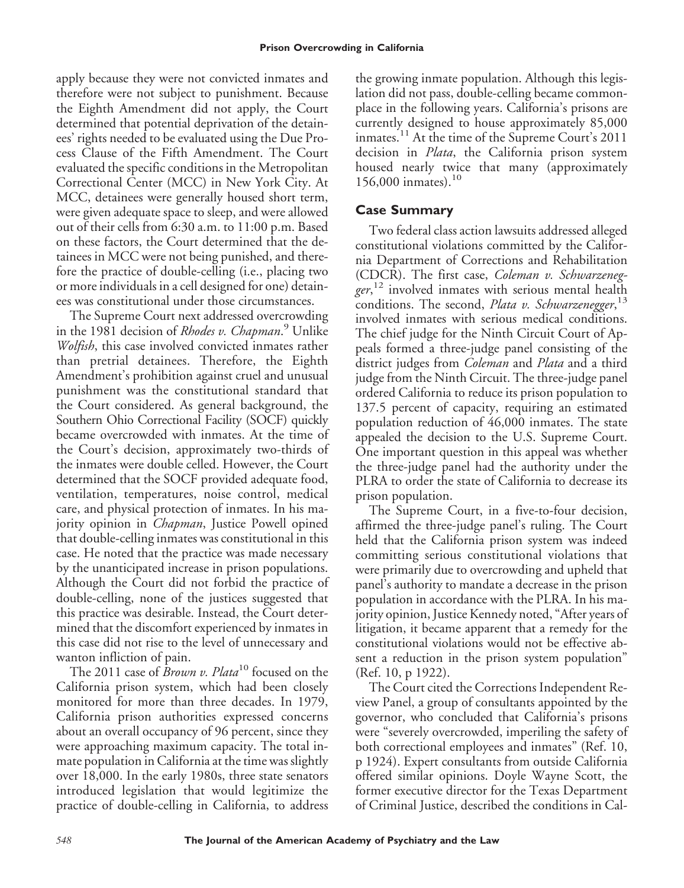apply because they were not convicted inmates and therefore were not subject to punishment. Because the Eighth Amendment did not apply, the Court determined that potential deprivation of the detainees' rights needed to be evaluated using the Due Process Clause of the Fifth Amendment. The Court evaluated the specific conditions in the Metropolitan Correctional Center (MCC) in New York City. At MCC, detainees were generally housed short term, were given adequate space to sleep, and were allowed out of their cells from 6:30 a.m. to 11:00 p.m. Based on these factors, the Court determined that the detainees in MCC were not being punished, and therefore the practice of double-celling (i.e., placing two or more individuals in a cell designed for one) detainees was constitutional under those circumstances.

The Supreme Court next addressed overcrowding in the 1981 decision of *Rhodes v. Chapman*. <sup>9</sup> Unlike *Wolfish*, this case involved convicted inmates rather than pretrial detainees. Therefore, the Eighth Amendment's prohibition against cruel and unusual punishment was the constitutional standard that the Court considered. As general background, the Southern Ohio Correctional Facility (SOCF) quickly became overcrowded with inmates. At the time of the Court's decision, approximately two-thirds of the inmates were double celled. However, the Court determined that the SOCF provided adequate food, ventilation, temperatures, noise control, medical care, and physical protection of inmates. In his majority opinion in *Chapman*, Justice Powell opined that double-celling inmates was constitutional in this case. He noted that the practice was made necessary by the unanticipated increase in prison populations. Although the Court did not forbid the practice of double-celling, none of the justices suggested that this practice was desirable. Instead, the Court determined that the discomfort experienced by inmates in this case did not rise to the level of unnecessary and wanton infliction of pain.

The 2011 case of *Brown v. Plata*<sup>10</sup> focused on the California prison system, which had been closely monitored for more than three decades. In 1979, California prison authorities expressed concerns about an overall occupancy of 96 percent, since they were approaching maximum capacity. The total inmate population in California at the time was slightly over 18,000. In the early 1980s, three state senators introduced legislation that would legitimize the practice of double-celling in California, to address

the growing inmate population. Although this legislation did not pass, double-celling became commonplace in the following years. California's prisons are currently designed to house approximately 85,000 inmates.<sup>11</sup> At the time of the Supreme Court's 2011 decision in *Plata*, the California prison system housed nearly twice that many (approximately 156,000 inmates).<sup>10</sup>

## **Case Summary**

Two federal class action lawsuits addressed alleged constitutional violations committed by the California Department of Corrections and Rehabilitation (CDCR). The first case, *Coleman v. Schwarzenegger*, <sup>12</sup> involved inmates with serious mental health conditions. The second, *Plata v. Schwarzenegger*, 13 involved inmates with serious medical conditions. The chief judge for the Ninth Circuit Court of Appeals formed a three-judge panel consisting of the district judges from *Coleman* and *Plata* and a third judge from the Ninth Circuit. The three-judge panel ordered California to reduce its prison population to 137.5 percent of capacity, requiring an estimated population reduction of 46,000 inmates. The state appealed the decision to the U.S. Supreme Court. One important question in this appeal was whether the three-judge panel had the authority under the PLRA to order the state of California to decrease its prison population.

The Supreme Court, in a five-to-four decision, affirmed the three-judge panel's ruling. The Court held that the California prison system was indeed committing serious constitutional violations that were primarily due to overcrowding and upheld that panel's authority to mandate a decrease in the prison population in accordance with the PLRA. In his majority opinion, Justice Kennedy noted, "After years of litigation, it became apparent that a remedy for the constitutional violations would not be effective absent a reduction in the prison system population" (Ref. 10, p 1922).

The Court cited the Corrections Independent Review Panel, a group of consultants appointed by the governor, who concluded that California's prisons were "severely overcrowded, imperiling the safety of both correctional employees and inmates" (Ref. 10, p 1924). Expert consultants from outside California offered similar opinions. Doyle Wayne Scott, the former executive director for the Texas Department of Criminal Justice, described the conditions in Cal-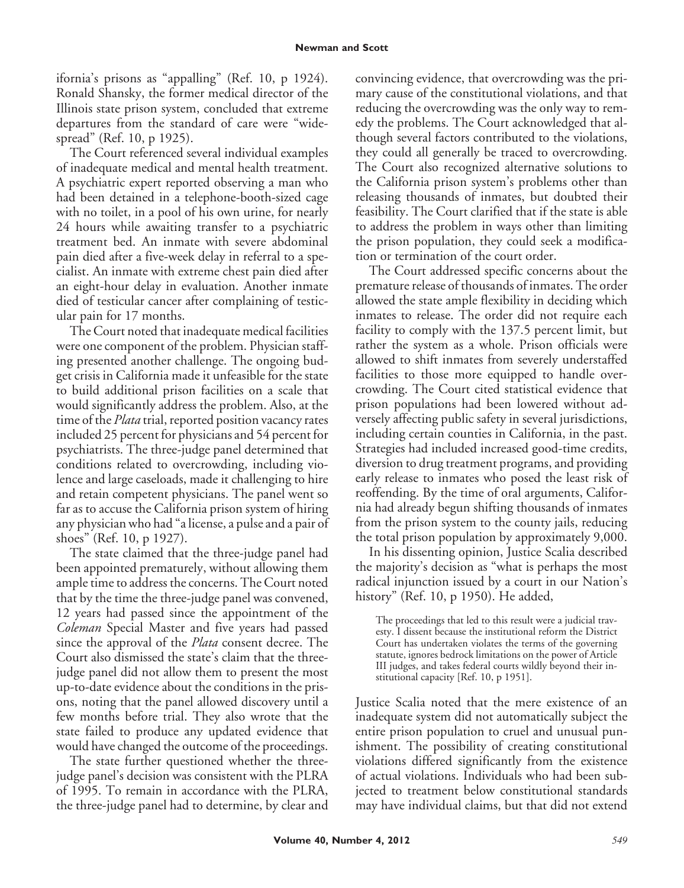ifornia's prisons as "appalling" (Ref. 10, p 1924). Ronald Shansky, the former medical director of the Illinois state prison system, concluded that extreme departures from the standard of care were "widespread" (Ref. 10, p 1925).

The Court referenced several individual examples of inadequate medical and mental health treatment. A psychiatric expert reported observing a man who had been detained in a telephone-booth-sized cage with no toilet, in a pool of his own urine, for nearly 24 hours while awaiting transfer to a psychiatric treatment bed. An inmate with severe abdominal pain died after a five-week delay in referral to a specialist. An inmate with extreme chest pain died after an eight-hour delay in evaluation. Another inmate died of testicular cancer after complaining of testicular pain for 17 months.

The Court noted that inadequate medical facilities were one component of the problem. Physician staffing presented another challenge. The ongoing budget crisis in California made it unfeasible for the state to build additional prison facilities on a scale that would significantly address the problem. Also, at the time of the *Plata* trial, reported position vacancy rates included 25 percent for physicians and 54 percent for psychiatrists. The three-judge panel determined that conditions related to overcrowding, including violence and large caseloads, made it challenging to hire and retain competent physicians. The panel went so far as to accuse the California prison system of hiring any physician who had "a license, a pulse and a pair of shoes" (Ref. 10, p 1927).

The state claimed that the three-judge panel had been appointed prematurely, without allowing them ample time to address the concerns. The Court noted that by the time the three-judge panel was convened, 12 years had passed since the appointment of the *Coleman* Special Master and five years had passed since the approval of the *Plata* consent decree. The Court also dismissed the state's claim that the threejudge panel did not allow them to present the most up-to-date evidence about the conditions in the prisons, noting that the panel allowed discovery until a few months before trial. They also wrote that the state failed to produce any updated evidence that would have changed the outcome of the proceedings.

The state further questioned whether the threejudge panel's decision was consistent with the PLRA of 1995. To remain in accordance with the PLRA, the three-judge panel had to determine, by clear and

convincing evidence, that overcrowding was the primary cause of the constitutional violations, and that reducing the overcrowding was the only way to remedy the problems. The Court acknowledged that although several factors contributed to the violations, they could all generally be traced to overcrowding. The Court also recognized alternative solutions to the California prison system's problems other than releasing thousands of inmates, but doubted their feasibility. The Court clarified that if the state is able to address the problem in ways other than limiting the prison population, they could seek a modification or termination of the court order.

The Court addressed specific concerns about the premature release of thousands of inmates. The order allowed the state ample flexibility in deciding which inmates to release. The order did not require each facility to comply with the 137.5 percent limit, but rather the system as a whole. Prison officials were allowed to shift inmates from severely understaffed facilities to those more equipped to handle overcrowding. The Court cited statistical evidence that prison populations had been lowered without adversely affecting public safety in several jurisdictions, including certain counties in California, in the past. Strategies had included increased good-time credits, diversion to drug treatment programs, and providing early release to inmates who posed the least risk of reoffending. By the time of oral arguments, California had already begun shifting thousands of inmates from the prison system to the county jails, reducing the total prison population by approximately 9,000.

In his dissenting opinion, Justice Scalia described the majority's decision as "what is perhaps the most radical injunction issued by a court in our Nation's history" (Ref. 10, p 1950). He added,

The proceedings that led to this result were a judicial travesty. I dissent because the institutional reform the District Court has undertaken violates the terms of the governing statute, ignores bedrock limitations on the power of Article III judges, and takes federal courts wildly beyond their institutional capacity [Ref. 10, p 1951].

Justice Scalia noted that the mere existence of an inadequate system did not automatically subject the entire prison population to cruel and unusual punishment. The possibility of creating constitutional violations differed significantly from the existence of actual violations. Individuals who had been subjected to treatment below constitutional standards may have individual claims, but that did not extend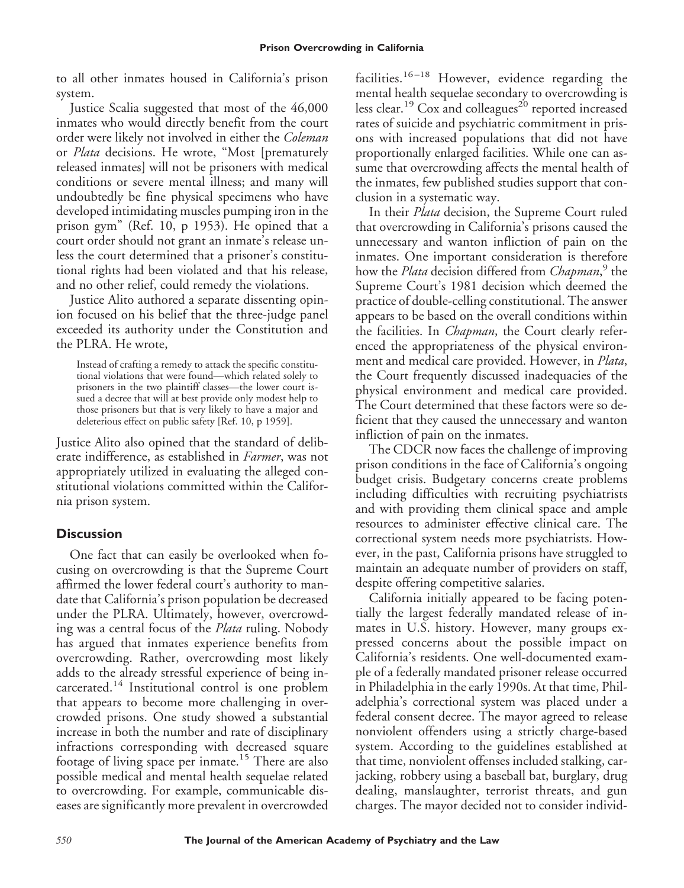to all other inmates housed in California's prison system.

Justice Scalia suggested that most of the 46,000 inmates who would directly benefit from the court order were likely not involved in either the *Coleman* or *Plata* decisions. He wrote, "Most [prematurely released inmates] will not be prisoners with medical conditions or severe mental illness; and many will undoubtedly be fine physical specimens who have developed intimidating muscles pumping iron in the prison gym" (Ref. 10, p 1953). He opined that a court order should not grant an inmate's release unless the court determined that a prisoner's constitutional rights had been violated and that his release, and no other relief, could remedy the violations.

Justice Alito authored a separate dissenting opinion focused on his belief that the three-judge panel exceeded its authority under the Constitution and the PLRA. He wrote,

Instead of crafting a remedy to attack the specific constitutional violations that were found—which related solely to prisoners in the two plaintiff classes—the lower court issued a decree that will at best provide only modest help to those prisoners but that is very likely to have a major and deleterious effect on public safety [Ref. 10, p 1959].

Justice Alito also opined that the standard of deliberate indifference, as established in *Farmer*, was not appropriately utilized in evaluating the alleged constitutional violations committed within the California prison system.

## **Discussion**

One fact that can easily be overlooked when focusing on overcrowding is that the Supreme Court affirmed the lower federal court's authority to mandate that California's prison population be decreased under the PLRA. Ultimately, however, overcrowding was a central focus of the *Plata* ruling. Nobody has argued that inmates experience benefits from overcrowding. Rather, overcrowding most likely adds to the already stressful experience of being incarcerated.<sup>14</sup> Institutional control is one problem that appears to become more challenging in overcrowded prisons. One study showed a substantial increase in both the number and rate of disciplinary infractions corresponding with decreased square footage of living space per inmate.<sup>15</sup> There are also possible medical and mental health sequelae related to overcrowding. For example, communicable diseases are significantly more prevalent in overcrowded

facilities.<sup>16–18</sup> However, evidence regarding the mental health sequelae secondary to overcrowding is less clear.<sup>19</sup> Cox and colleagues<sup>20</sup> reported increased rates of suicide and psychiatric commitment in prisons with increased populations that did not have proportionally enlarged facilities. While one can assume that overcrowding affects the mental health of the inmates, few published studies support that conclusion in a systematic way.

In their *Plata* decision, the Supreme Court ruled that overcrowding in California's prisons caused the unnecessary and wanton infliction of pain on the inmates. One important consideration is therefore how the *Plata* decision differed from *Chapman*, <sup>9</sup> the Supreme Court's 1981 decision which deemed the practice of double-celling constitutional. The answer appears to be based on the overall conditions within the facilities. In *Chapman*, the Court clearly referenced the appropriateness of the physical environment and medical care provided. However, in *Plata*, the Court frequently discussed inadequacies of the physical environment and medical care provided. The Court determined that these factors were so deficient that they caused the unnecessary and wanton infliction of pain on the inmates.

The CDCR now faces the challenge of improving prison conditions in the face of California's ongoing budget crisis. Budgetary concerns create problems including difficulties with recruiting psychiatrists and with providing them clinical space and ample resources to administer effective clinical care. The correctional system needs more psychiatrists. However, in the past, California prisons have struggled to maintain an adequate number of providers on staff, despite offering competitive salaries.

California initially appeared to be facing potentially the largest federally mandated release of inmates in U.S. history. However, many groups expressed concerns about the possible impact on California's residents. One well-documented example of a federally mandated prisoner release occurred in Philadelphia in the early 1990s. At that time, Philadelphia's correctional system was placed under a federal consent decree. The mayor agreed to release nonviolent offenders using a strictly charge-based system. According to the guidelines established at that time, nonviolent offenses included stalking, carjacking, robbery using a baseball bat, burglary, drug dealing, manslaughter, terrorist threats, and gun charges. The mayor decided not to consider individ-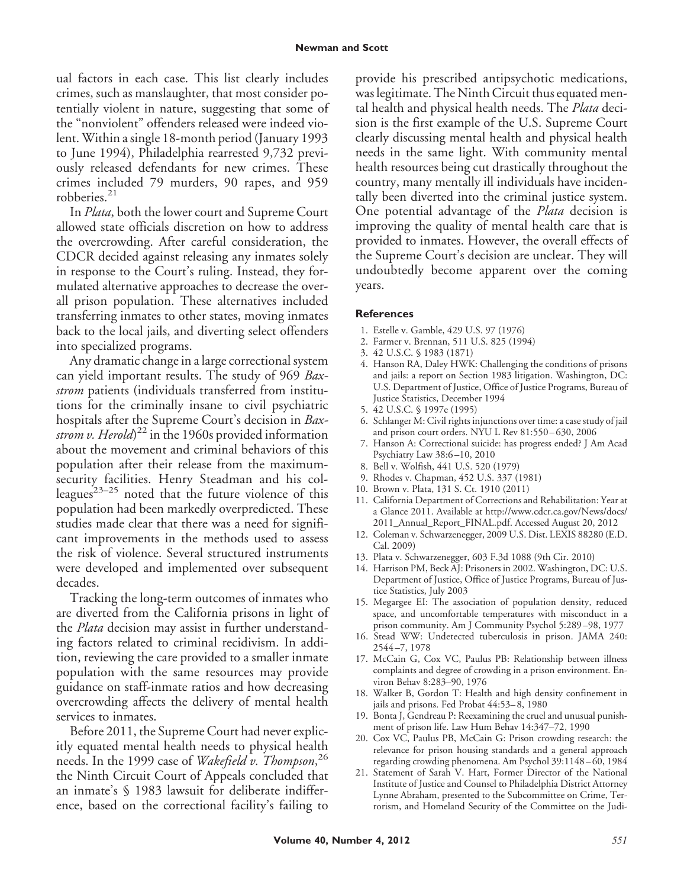ual factors in each case. This list clearly includes crimes, such as manslaughter, that most consider potentially violent in nature, suggesting that some of the "nonviolent" offenders released were indeed violent. Within a single 18-month period (January 1993 to June 1994), Philadelphia rearrested 9,732 previously released defendants for new crimes. These crimes included 79 murders, 90 rapes, and 959 robberies.<sup>21</sup>

In *Plata*, both the lower court and Supreme Court allowed state officials discretion on how to address the overcrowding. After careful consideration, the CDCR decided against releasing any inmates solely in response to the Court's ruling. Instead, they formulated alternative approaches to decrease the overall prison population. These alternatives included transferring inmates to other states, moving inmates back to the local jails, and diverting select offenders into specialized programs.

Any dramatic change in a large correctional system can yield important results. The study of 969 *Baxstrom* patients (individuals transferred from institutions for the criminally insane to civil psychiatric hospitals after the Supreme Court's decision in *Baxstrom v. Herold*) <sup>22</sup> in the 1960s provided information about the movement and criminal behaviors of this population after their release from the maximumsecurity facilities. Henry Steadman and his colleagues<sup>23-25</sup> noted that the future violence of this population had been markedly overpredicted. These studies made clear that there was a need for significant improvements in the methods used to assess the risk of violence. Several structured instruments were developed and implemented over subsequent decades.

Tracking the long-term outcomes of inmates who are diverted from the California prisons in light of the *Plata* decision may assist in further understanding factors related to criminal recidivism. In addition, reviewing the care provided to a smaller inmate population with the same resources may provide guidance on staff-inmate ratios and how decreasing overcrowding affects the delivery of mental health services to inmates.

Before 2011, the Supreme Court had never explicitly equated mental health needs to physical health needs. In the 1999 case of *Wakefield v. Thompson*, 26 the Ninth Circuit Court of Appeals concluded that an inmate's § 1983 lawsuit for deliberate indifference, based on the correctional facility's failing to

provide his prescribed antipsychotic medications, was legitimate. The Ninth Circuit thus equated mental health and physical health needs. The *Plata* decision is the first example of the U.S. Supreme Court clearly discussing mental health and physical health needs in the same light. With community mental health resources being cut drastically throughout the country, many mentally ill individuals have incidentally been diverted into the criminal justice system. One potential advantage of the *Plata* decision is improving the quality of mental health care that is provided to inmates. However, the overall effects of the Supreme Court's decision are unclear. They will undoubtedly become apparent over the coming years.

### **References**

- 1. Estelle v. Gamble, 429 U.S. 97 (1976)
- 2. Farmer v. Brennan, 511 U.S. 825 (1994)
- 3. 42 U.S.C. § 1983 (1871)
- 4. Hanson RA, Daley HWK: Challenging the conditions of prisons and jails: a report on Section 1983 litigation. Washington, DC: U.S. Department of Justice, Office of Justice Programs, Bureau of Justice Statistics, December 1994
- 5. 42 U.S.C. § 1997e (1995)
- 6. Schlanger M: Civil rights injunctions over time: a case study of jail and prison court orders. NYU L Rev 81:550 – 630, 2006
- 7. Hanson A: Correctional suicide: has progress ended? J Am Acad Psychiatry Law 38:6 –10, 2010
- 8. Bell v. Wolfish, 441 U.S. 520 (1979)
- 9. Rhodes v. Chapman, 452 U.S. 337 (1981)
- 10. Brown v. Plata, 131 S. Ct. 1910 (2011)
- 11. California Department of Corrections and Rehabilitation: Year at a Glance 2011. Available at http://www.cdcr.ca.gov/News/docs/ 2011\_Annual\_Report\_FINAL.pdf. Accessed August 20, 2012
- 12. Coleman v. Schwarzenegger, 2009 U.S. Dist. LEXIS 88280 (E.D. Cal. 2009)
- 13. Plata v. Schwarzenegger, 603 F.3d 1088 (9th Cir. 2010)
- 14. Harrison PM, Beck AJ: Prisoners in 2002. Washington, DC: U.S. Department of Justice, Office of Justice Programs, Bureau of Justice Statistics, July 2003
- 15. Megargee EI: The association of population density, reduced space, and uncomfortable temperatures with misconduct in a prison community. Am J Community Psychol 5:289 –98, 1977
- 16. Stead WW: Undetected tuberculosis in prison. JAMA 240: 2544 –7, 1978
- 17. McCain G, Cox VC, Paulus PB: Relationship between illness complaints and degree of crowding in a prison environment. Environ Behav 8:283–90, 1976
- 18. Walker B, Gordon T: Health and high density confinement in jails and prisons. Fed Probat 44:53– 8, 1980
- 19. Bonta J, Gendreau P: Reexamining the cruel and unusual punishment of prison life. Law Hum Behav 14:347–72, 1990
- 20. Cox VC, Paulus PB, McCain G: Prison crowding research: the relevance for prison housing standards and a general approach regarding crowding phenomena. Am Psychol 39:1148 – 60, 1984
- 21. Statement of Sarah V. Hart, Former Director of the National Institute of Justice and Counsel to Philadelphia District Attorney Lynne Abraham, presented to the Subcommittee on Crime, Terrorism, and Homeland Security of the Committee on the Judi-